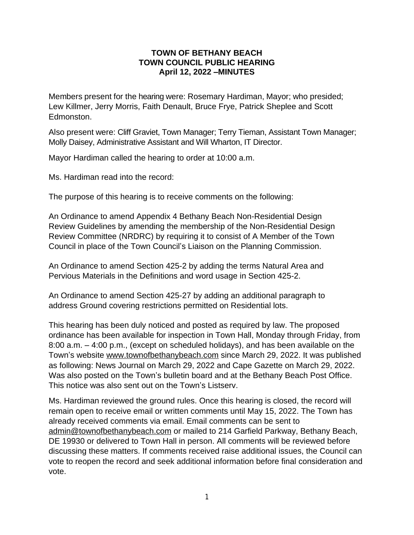## **TOWN OF BETHANY BEACH TOWN COUNCIL PUBLIC HEARING April 12, 2022 –MINUTES**

Members present for the hearing were: Rosemary Hardiman, Mayor; who presided; Lew Killmer, Jerry Morris, Faith Denault, Bruce Frye, Patrick Sheplee and Scott Edmonston.

Also present were: Cliff Graviet, Town Manager; Terry Tieman, Assistant Town Manager; Molly Daisey, Administrative Assistant and Will Wharton, IT Director.

Mayor Hardiman called the hearing to order at 10:00 a.m.

Ms. Hardiman read into the record:

The purpose of this hearing is to receive comments on the following:

An Ordinance to amend Appendix 4 Bethany Beach Non-Residential Design Review Guidelines by amending the membership of the Non-Residential Design Review Committee (NRDRC) by requiring it to consist of A Member of the Town Council in place of the Town Council's Liaison on the Planning Commission.

An Ordinance to amend Section 425-2 by adding the terms Natural Area and Pervious Materials in the Definitions and word usage in Section 425-2.

An Ordinance to amend Section 425-27 by adding an additional paragraph to address Ground covering restrictions permitted on Residential lots.

This hearing has been duly noticed and posted as required by law. The proposed ordinance has been available for inspection in Town Hall, Monday through Friday, from 8:00 a.m. – 4:00 p.m., (except on scheduled holidays), and has been available on the Town's website [www.townofbethanybeach.com](http://www.townofbethanybeach.com) since March 29, 2022. It was published as following: News Journal on March 29, 2022 and Cape Gazette on March 29, 2022. Was also posted on the Town's bulletin board and at the Bethany Beach Post Office. This notice was also sent out on the Town's Listserv.

Ms. Hardiman reviewed the ground rules. Once this hearing is closed, the record will remain open to receive email or written comments until May 15, 2022. The Town has already received comments via email. Email comments can be sent to [admin@townofbethanybeach.com](mailto:admin@townofbethanybeach.com) or mailed to 214 Garfield Parkway, Bethany Beach, DE 19930 or delivered to Town Hall in person. All comments will be reviewed before discussing these matters. If comments received raise additional issues, the Council can vote to reopen the record and seek additional information before final consideration and vote.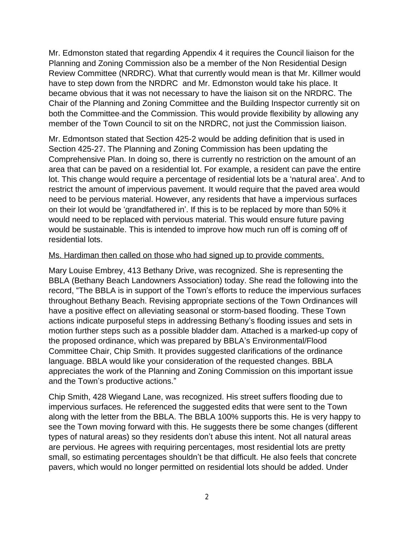Mr. Edmonston stated that regarding Appendix 4 it requires the Council liaison for the Planning and Zoning Commission also be a member of the Non Residential Design Review Committee (NRDRC). What that currently would mean is that Mr. Killmer would have to step down from the NRDRC and Mr. Edmonston would take his place. It became obvious that it was not necessary to have the liaison sit on the NRDRC. The Chair of the Planning and Zoning Committee and the Building Inspector currently sit on both the Committee and the Commission. This would provide flexibility by allowing any member of the Town Council to sit on the NRDRC, not just the Commission liaison.

Mr. Edmontson stated that Section 425-2 would be adding definition that is used in Section 425-27. The Planning and Zoning Commission has been updating the Comprehensive Plan. In doing so, there is currently no restriction on the amount of an area that can be paved on a residential lot. For example, a resident can pave the entire lot. This change would require a percentage of residential lots be a 'natural area'. And to restrict the amount of impervious pavement. It would require that the paved area would need to be pervious material. However, any residents that have a impervious surfaces on their lot would be 'grandfathered in'. If this is to be replaced by more than 50% it would need to be replaced with pervious material. This would ensure future paving would be sustainable. This is intended to improve how much run off is coming off of residential lots.

## Ms. Hardiman then called on those who had signed up to provide comments.

Mary Louise Embrey, 413 Bethany Drive, was recognized. She is representing the BBLA (Bethany Beach Landowners Association) today. She read the following into the record, "The BBLA is in support of the Town's efforts to reduce the impervious surfaces throughout Bethany Beach. Revising appropriate sections of the Town Ordinances will have a positive effect on alleviating seasonal or storm-based flooding. These Town actions indicate purposeful steps in addressing Bethany's flooding issues and sets in motion further steps such as a possible bladder dam. Attached is a marked-up copy of the proposed ordinance, which was prepared by BBLA's Environmental/Flood Committee Chair, Chip Smith. It provides suggested clarifications of the ordinance language. BBLA would like your consideration of the requested changes. BBLA appreciates the work of the Planning and Zoning Commission on this important issue and the Town's productive actions."

Chip Smith, 428 Wiegand Lane, was recognized. His street suffers flooding due to impervious surfaces. He referenced the suggested edits that were sent to the Town along with the letter from the BBLA. The BBLA 100% supports this. He is very happy to see the Town moving forward with this. He suggests there be some changes (different types of natural areas) so they residents don't abuse this intent. Not all natural areas are pervious. He agrees with requiring percentages, most residential lots are pretty small, so estimating percentages shouldn't be that difficult. He also feels that concrete pavers, which would no longer permitted on residential lots should be added. Under